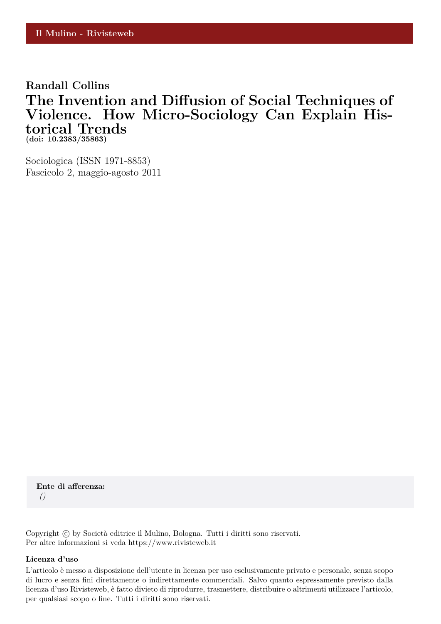### **Randall Collins The Invention and Diffusion of Social Techniques of Violence. How Micro-Sociology Can Explain Historical Trends (doi: 10.2383/35863)**

Sociologica (ISSN 1971-8853) Fascicolo 2, maggio-agosto 2011

**Ente di afferenza:** *()*

Copyright © by Società editrice il Mulino, Bologna. Tutti i diritti sono riservati. Per altre informazioni si veda https://www.rivisteweb.it

#### **Licenza d'uso**

L'articolo è messo a disposizione dell'utente in licenza per uso esclusivamente privato e personale, senza scopo di lucro e senza fini direttamente o indirettamente commerciali. Salvo quanto espressamente previsto dalla licenza d'uso Rivisteweb, è fatto divieto di riprodurre, trasmettere, distribuire o altrimenti utilizzare l'articolo, per qualsiasi scopo o fine. Tutti i diritti sono riservati.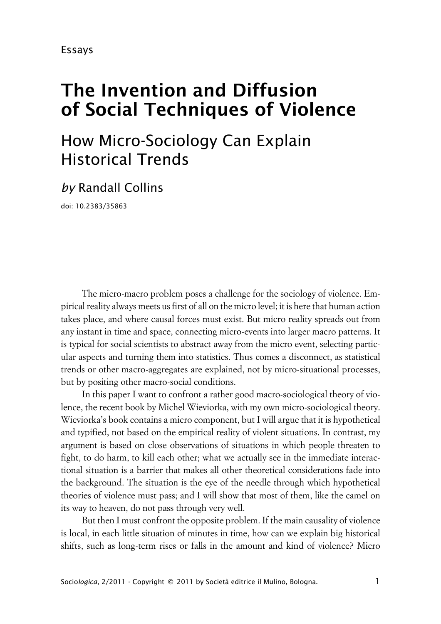# **The Invention and Diffusion of Social Techniques of Violence**

# How Micro-Sociology Can Explain Historical Trends

## *by* Randall Collins

doi: 10.2383/35863

The micro-macro problem poses a challenge for the sociology of violence. Empirical reality always meets us first of all on the micro level; it is here that human action takes place, and where causal forces must exist. But micro reality spreads out from any instant in time and space, connecting micro-events into larger macro patterns. It is typical for social scientists to abstract away from the micro event, selecting particular aspects and turning them into statistics. Thus comes a disconnect, as statistical trends or other macro-aggregates are explained, not by micro-situational processes, but by positing other macro-social conditions.

In this paper I want to confront a rather good macro-sociological theory of violence, the recent book by Michel Wieviorka, with my own micro-sociological theory. Wieviorka's book contains a micro component, but I will argue that it is hypothetical and typified, not based on the empirical reality of violent situations. In contrast, my argument is based on close observations of situations in which people threaten to fight, to do harm, to kill each other; what we actually see in the immediate interactional situation is a barrier that makes all other theoretical considerations fade into the background. The situation is the eye of the needle through which hypothetical theories of violence must pass; and I will show that most of them, like the camel on its way to heaven, do not pass through very well.

But then I must confront the opposite problem. If the main causality of violence is local, in each little situation of minutes in time, how can we explain big historical shifts, such as long-term rises or falls in the amount and kind of violence? Micro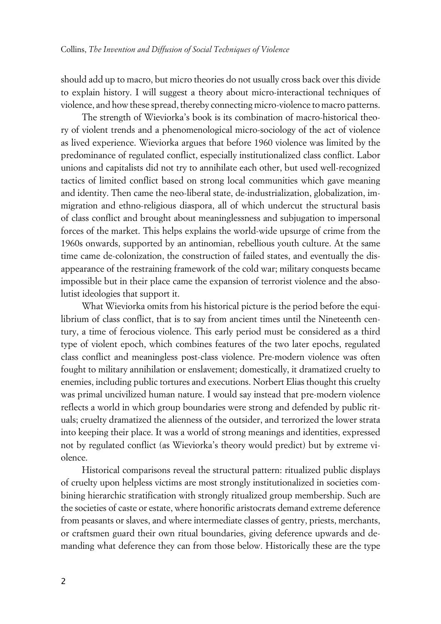should add up to macro, but micro theories do not usually cross back over this divide to explain history. I will suggest a theory about micro-interactional techniques of violence, and how these spread, thereby connecting micro-violence to macro patterns.

The strength of Wieviorka's book is its combination of macro-historical theory of violent trends and a phenomenological micro-sociology of the act of violence as lived experience. Wieviorka argues that before 1960 violence was limited by the predominance of regulated conflict, especially institutionalized class conflict. Labor unions and capitalists did not try to annihilate each other, but used well-recognized tactics of limited conflict based on strong local communities which gave meaning and identity. Then came the neo-liberal state, de-industrialization, globalization, immigration and ethno-religious diaspora, all of which undercut the structural basis of class conflict and brought about meaninglessness and subjugation to impersonal forces of the market. This helps explains the world-wide upsurge of crime from the 1960s onwards, supported by an antinomian, rebellious youth culture. At the same time came de-colonization, the construction of failed states, and eventually the disappearance of the restraining framework of the cold war; military conquests became impossible but in their place came the expansion of terrorist violence and the absolutist ideologies that support it.

What Wieviorka omits from his historical picture is the period before the equilibrium of class conflict, that is to say from ancient times until the Nineteenth century, a time of ferocious violence. This early period must be considered as a third type of violent epoch, which combines features of the two later epochs, regulated class conflict and meaningless post-class violence. Pre-modern violence was often fought to military annihilation or enslavement; domestically, it dramatized cruelty to enemies, including public tortures and executions. Norbert Elias thought this cruelty was primal uncivilized human nature. I would say instead that pre-modern violence reflects a world in which group boundaries were strong and defended by public rituals; cruelty dramatized the alienness of the outsider, and terrorized the lower strata into keeping their place. It was a world of strong meanings and identities, expressed not by regulated conflict (as Wieviorka's theory would predict) but by extreme violence.

Historical comparisons reveal the structural pattern: ritualized public displays of cruelty upon helpless victims are most strongly institutionalized in societies combining hierarchic stratification with strongly ritualized group membership. Such are the societies of caste or estate, where honorific aristocrats demand extreme deference from peasants or slaves, and where intermediate classes of gentry, priests, merchants, or craftsmen guard their own ritual boundaries, giving deference upwards and demanding what deference they can from those below. Historically these are the type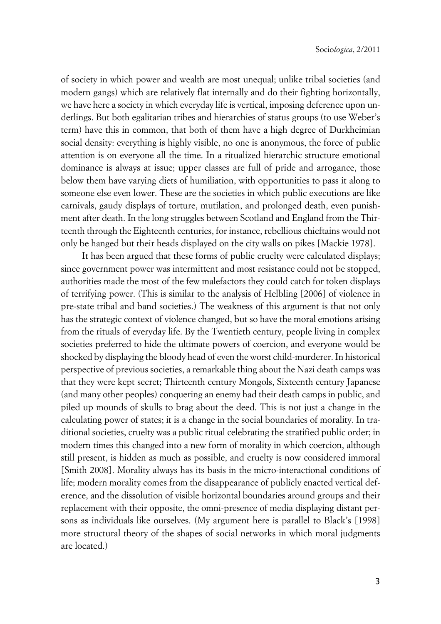of society in which power and wealth are most unequal; unlike tribal societies (and modern gangs) which are relatively flat internally and do their fighting horizontally, we have here a society in which everyday life is vertical, imposing deference upon underlings. But both egalitarian tribes and hierarchies of status groups (to use Weber's term) have this in common, that both of them have a high degree of Durkheimian social density: everything is highly visible, no one is anonymous, the force of public attention is on everyone all the time. In a ritualized hierarchic structure emotional dominance is always at issue; upper classes are full of pride and arrogance, those below them have varying diets of humiliation, with opportunities to pass it along to someone else even lower. These are the societies in which public executions are like carnivals, gaudy displays of torture, mutilation, and prolonged death, even punishment after death. In the long struggles between Scotland and England from the Thirteenth through the Eighteenth centuries, for instance, rebellious chieftains would not only be hanged but their heads displayed on the city walls on pikes [Mackie 1978].

It has been argued that these forms of public cruelty were calculated displays; since government power was intermittent and most resistance could not be stopped, authorities made the most of the few malefactors they could catch for token displays of terrifying power. (This is similar to the analysis of Helbling [2006] of violence in pre-state tribal and band societies.) The weakness of this argument is that not only has the strategic context of violence changed, but so have the moral emotions arising from the rituals of everyday life. By the Twentieth century, people living in complex societies preferred to hide the ultimate powers of coercion, and everyone would be shocked by displaying the bloody head of even the worst child-murderer. In historical perspective of previous societies, a remarkable thing about the Nazi death camps was that they were kept secret; Thirteenth century Mongols, Sixteenth century Japanese (and many other peoples) conquering an enemy had their death camps in public, and piled up mounds of skulls to brag about the deed. This is not just a change in the calculating power of states; it is a change in the social boundaries of morality. In traditional societies, cruelty was a public ritual celebrating the stratified public order; in modern times this changed into a new form of morality in which coercion, although still present, is hidden as much as possible, and cruelty is now considered immoral [Smith 2008]. Morality always has its basis in the micro-interactional conditions of life; modern morality comes from the disappearance of publicly enacted vertical deference, and the dissolution of visible horizontal boundaries around groups and their replacement with their opposite, the omni-presence of media displaying distant persons as individuals like ourselves. (My argument here is parallel to Black's [1998] more structural theory of the shapes of social networks in which moral judgments are located.)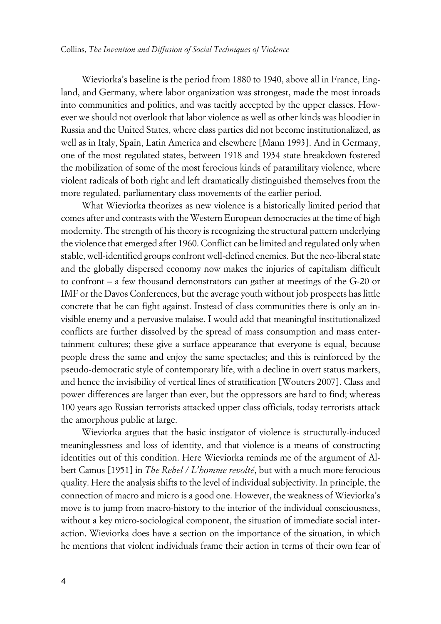Wieviorka's baseline is the period from 1880 to 1940, above all in France, England, and Germany, where labor organization was strongest, made the most inroads into communities and politics, and was tacitly accepted by the upper classes. However we should not overlook that labor violence as well as other kinds was bloodier in Russia and the United States, where class parties did not become institutionalized, as well as in Italy, Spain, Latin America and elsewhere [Mann 1993]. And in Germany, one of the most regulated states, between 1918 and 1934 state breakdown fostered the mobilization of some of the most ferocious kinds of paramilitary violence, where violent radicals of both right and left dramatically distinguished themselves from the more regulated, parliamentary class movements of the earlier period.

What Wieviorka theorizes as new violence is a historically limited period that comes after and contrasts with the Western European democracies at the time of high modernity. The strength of his theory is recognizing the structural pattern underlying the violence that emerged after 1960. Conflict can be limited and regulated only when stable, well-identified groups confront well-defined enemies. But the neo-liberal state and the globally dispersed economy now makes the injuries of capitalism difficult to confront – a few thousand demonstrators can gather at meetings of the G-20 or IMF or the Davos Conferences, but the average youth without job prospects has little concrete that he can fight against. Instead of class communities there is only an invisible enemy and a pervasive malaise. I would add that meaningful institutionalized conflicts are further dissolved by the spread of mass consumption and mass entertainment cultures; these give a surface appearance that everyone is equal, because people dress the same and enjoy the same spectacles; and this is reinforced by the pseudo-democratic style of contemporary life, with a decline in overt status markers, and hence the invisibility of vertical lines of stratification [Wouters 2007]. Class and power differences are larger than ever, but the oppressors are hard to find; whereas 100 years ago Russian terrorists attacked upper class officials, today terrorists attack the amorphous public at large.

Wieviorka argues that the basic instigator of violence is structurally-induced meaninglessness and loss of identity, and that violence is a means of constructing identities out of this condition. Here Wieviorka reminds me of the argument of Albert Camus [1951] in *The Rebel / L'homme revolté*, but with a much more ferocious quality. Here the analysis shifts to the level of individual subjectivity. In principle, the connection of macro and micro is a good one. However, the weakness of Wieviorka's move is to jump from macro-history to the interior of the individual consciousness, without a key micro-sociological component, the situation of immediate social interaction. Wieviorka does have a section on the importance of the situation, in which he mentions that violent individuals frame their action in terms of their own fear of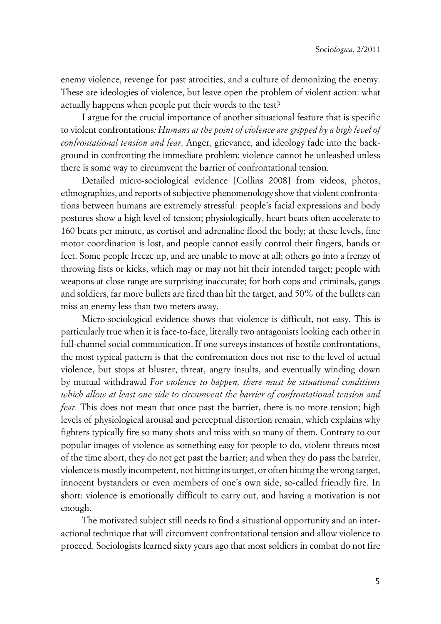enemy violence, revenge for past atrocities, and a culture of demonizing the enemy. These are ideologies of violence, but leave open the problem of violent action: what actually happens when people put their words to the test?

I argue for the crucial importance of another situational feature that is specific to violent confrontations*: Humans at the point of violence are gripped by a high level of confrontational tension and fear*. Anger, grievance, and ideology fade into the background in confronting the immediate problem: violence cannot be unleashed unless there is some way to circumvent the barrier of confrontational tension.

Detailed micro-sociological evidence [Collins 2008] from videos, photos, ethnographies, and reports of subjective phenomenology show that violent confrontations between humans are extremely stressful: people's facial expressions and body postures show a high level of tension; physiologically, heart beats often accelerate to 160 beats per minute, as cortisol and adrenaline flood the body; at these levels, fine motor coordination is lost, and people cannot easily control their fingers, hands or feet. Some people freeze up, and are unable to move at all; others go into a frenzy of throwing fists or kicks, which may or may not hit their intended target; people with weapons at close range are surprising inaccurate; for both cops and criminals, gangs and soldiers, far more bullets are fired than hit the target, and 50% of the bullets can miss an enemy less than two meters away.

Micro-sociological evidence shows that violence is difficult, not easy. This is particularly true when it is face-to-face, literally two antagonists looking each other in full-channel social communication. If one surveys instances of hostile confrontations, the most typical pattern is that the confrontation does not rise to the level of actual violence, but stops at bluster, threat, angry insults, and eventually winding down by mutual withdrawal *For violence to happen, there must be situational conditions which allow at least one side to circumvent the barrier of confrontational tension and fear.* This does not mean that once past the barrier, there is no more tension; high levels of physiological arousal and perceptual distortion remain, which explains why fighters typically fire so many shots and miss with so many of them. Contrary to our popular images of violence as something easy for people to do, violent threats most of the time abort, they do not get past the barrier; and when they do pass the barrier, violence is mostly incompetent, not hitting its target, or often hitting the wrong target, innocent bystanders or even members of one's own side, so-called friendly fire. In short: violence is emotionally difficult to carry out, and having a motivation is not enough.

The motivated subject still needs to find a situational opportunity and an interactional technique that will circumvent confrontational tension and allow violence to proceed. Sociologists learned sixty years ago that most soldiers in combat do not fire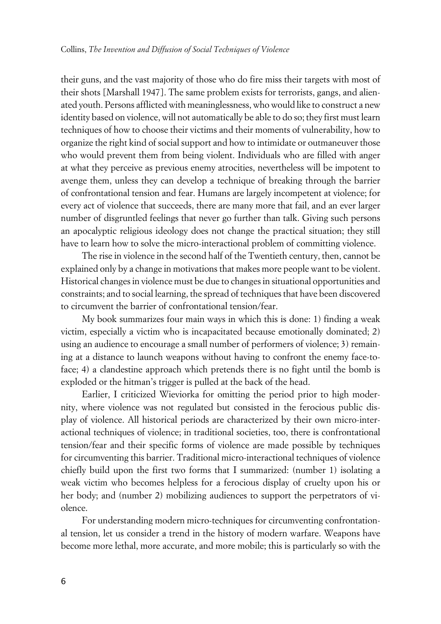their guns, and the vast majority of those who do fire miss their targets with most of their shots [Marshall 1947]. The same problem exists for terrorists, gangs, and alienated youth. Persons afflicted with meaninglessness, who would like to construct a new identity based on violence, will not automatically be able to do so; they first must learn techniques of how to choose their victims and their moments of vulnerability, how to organize the right kind of social support and how to intimidate or outmaneuver those who would prevent them from being violent. Individuals who are filled with anger at what they perceive as previous enemy atrocities, nevertheless will be impotent to avenge them, unless they can develop a technique of breaking through the barrier of confrontational tension and fear. Humans are largely incompetent at violence; for every act of violence that succeeds, there are many more that fail, and an ever larger number of disgruntled feelings that never go further than talk. Giving such persons an apocalyptic religious ideology does not change the practical situation; they still have to learn how to solve the micro-interactional problem of committing violence.

The rise in violence in the second half of the Twentieth century, then, cannot be explained only by a change in motivations that makes more people want to be violent. Historical changes in violence must be due to changes in situational opportunities and constraints; and to social learning, the spread of techniques that have been discovered to circumvent the barrier of confrontational tension/fear.

My book summarizes four main ways in which this is done: 1) finding a weak victim, especially a victim who is incapacitated because emotionally dominated; 2) using an audience to encourage a small number of performers of violence; 3) remaining at a distance to launch weapons without having to confront the enemy face-toface; 4) a clandestine approach which pretends there is no fight until the bomb is exploded or the hitman's trigger is pulled at the back of the head.

Earlier, I criticized Wieviorka for omitting the period prior to high modernity, where violence was not regulated but consisted in the ferocious public display of violence. All historical periods are characterized by their own micro-interactional techniques of violence; in traditional societies, too, there is confrontational tension/fear and their specific forms of violence are made possible by techniques for circumventing this barrier. Traditional micro-interactional techniques of violence chiefly build upon the first two forms that I summarized: (number 1) isolating a weak victim who becomes helpless for a ferocious display of cruelty upon his or her body; and (number 2) mobilizing audiences to support the perpetrators of violence.

For understanding modern micro-techniques for circumventing confrontational tension, let us consider a trend in the history of modern warfare. Weapons have become more lethal, more accurate, and more mobile; this is particularly so with the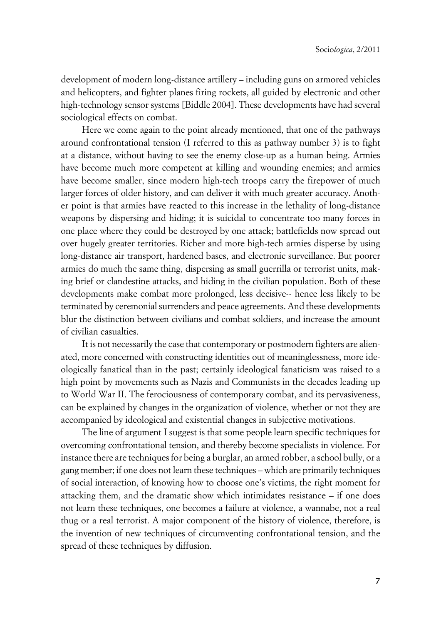development of modern long-distance artillery – including guns on armored vehicles and helicopters, and fighter planes firing rockets, all guided by electronic and other high-technology sensor systems [Biddle 2004]. These developments have had several sociological effects on combat.

Here we come again to the point already mentioned, that one of the pathways around confrontational tension (I referred to this as pathway number 3) is to fight at a distance, without having to see the enemy close-up as a human being. Armies have become much more competent at killing and wounding enemies; and armies have become smaller, since modern high-tech troops carry the firepower of much larger forces of older history, and can deliver it with much greater accuracy. Another point is that armies have reacted to this increase in the lethality of long-distance weapons by dispersing and hiding; it is suicidal to concentrate too many forces in one place where they could be destroyed by one attack; battlefields now spread out over hugely greater territories. Richer and more high-tech armies disperse by using long-distance air transport, hardened bases, and electronic surveillance. But poorer armies do much the same thing, dispersing as small guerrilla or terrorist units, making brief or clandestine attacks, and hiding in the civilian population. Both of these developments make combat more prolonged, less decisive-- hence less likely to be terminated by ceremonial surrenders and peace agreements. And these developments blur the distinction between civilians and combat soldiers, and increase the amount of civilian casualties.

It is not necessarily the case that contemporary or postmodern fighters are alienated, more concerned with constructing identities out of meaninglessness, more ideologically fanatical than in the past; certainly ideological fanaticism was raised to a high point by movements such as Nazis and Communists in the decades leading up to World War II. The ferociousness of contemporary combat, and its pervasiveness, can be explained by changes in the organization of violence, whether or not they are accompanied by ideological and existential changes in subjective motivations.

The line of argument I suggest is that some people learn specific techniques for overcoming confrontational tension, and thereby become specialists in violence. For instance there are techniques for being a burglar, an armed robber, a school bully, or a gang member; if one does not learn these techniques – which are primarily techniques of social interaction, of knowing how to choose one's victims, the right moment for attacking them, and the dramatic show which intimidates resistance – if one does not learn these techniques, one becomes a failure at violence, a wannabe, not a real thug or a real terrorist. A major component of the history of violence, therefore, is the invention of new techniques of circumventing confrontational tension, and the spread of these techniques by diffusion.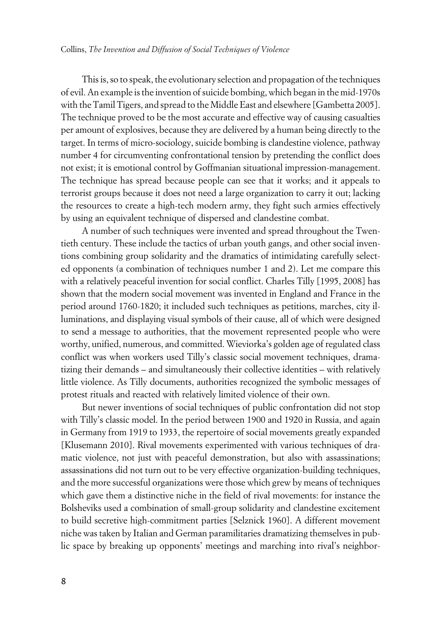This is, so to speak, the evolutionary selection and propagation of the techniques of evil. An example is the invention of suicide bombing, which began in the mid-1970s with the Tamil Tigers, and spread to the Middle East and elsewhere [Gambetta 2005]. The technique proved to be the most accurate and effective way of causing casualties per amount of explosives, because they are delivered by a human being directly to the target. In terms of micro-sociology, suicide bombing is clandestine violence, pathway number 4 for circumventing confrontational tension by pretending the conflict does not exist; it is emotional control by Goffmanian situational impression-management. The technique has spread because people can see that it works; and it appeals to terrorist groups because it does not need a large organization to carry it out; lacking the resources to create a high-tech modern army, they fight such armies effectively by using an equivalent technique of dispersed and clandestine combat.

A number of such techniques were invented and spread throughout the Twentieth century. These include the tactics of urban youth gangs, and other social inventions combining group solidarity and the dramatics of intimidating carefully selected opponents (a combination of techniques number 1 and 2). Let me compare this with a relatively peaceful invention for social conflict. Charles Tilly [1995, 2008] has shown that the modern social movement was invented in England and France in the period around 1760-1820; it included such techniques as petitions, marches, city illuminations, and displaying visual symbols of their cause, all of which were designed to send a message to authorities, that the movement represented people who were worthy, unified, numerous, and committed. Wieviorka's golden age of regulated class conflict was when workers used Tilly's classic social movement techniques, dramatizing their demands – and simultaneously their collective identities – with relatively little violence. As Tilly documents, authorities recognized the symbolic messages of protest rituals and reacted with relatively limited violence of their own.

But newer inventions of social techniques of public confrontation did not stop with Tilly's classic model. In the period between 1900 and 1920 in Russia, and again in Germany from 1919 to 1933, the repertoire of social movements greatly expanded [Klusemann 2010]. Rival movements experimented with various techniques of dramatic violence, not just with peaceful demonstration, but also with assassinations; assassinations did not turn out to be very effective organization-building techniques, and the more successful organizations were those which grew by means of techniques which gave them a distinctive niche in the field of rival movements: for instance the Bolsheviks used a combination of small-group solidarity and clandestine excitement to build secretive high-commitment parties [Selznick 1960]. A different movement niche was taken by Italian and German paramilitaries dramatizing themselves in public space by breaking up opponents' meetings and marching into rival's neighbor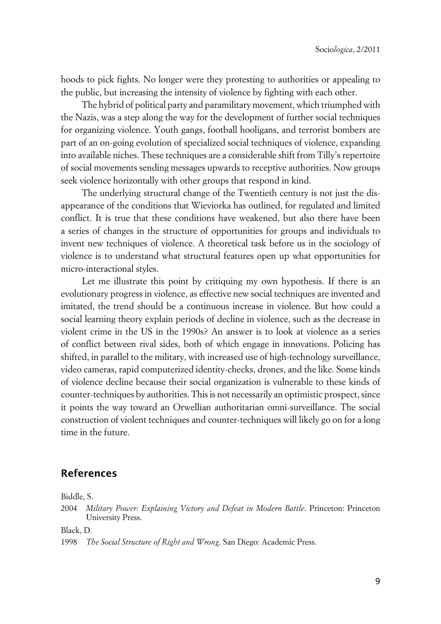hoods to pick fights. No longer were they protesting to authorities or appealing to the public, but increasing the intensity of violence by fighting with each other.

The hybrid of political party and paramilitary movement, which triumphed with the Nazis, was a step along the way for the development of further social techniques for organizing violence. Youth gangs, football hooligans, and terrorist bombers are part of an on-going evolution of specialized social techniques of violence, expanding into available niches. These techniques are a considerable shift from Tilly's repertoire of social movements sending messages upwards to receptive authorities. Now groups seek violence horizontally with other groups that respond in kind.

The underlying structural change of the Twentieth century is not just the disappearance of the conditions that Wieviorka has outlined, for regulated and limited conflict. It is true that these conditions have weakened, but also there have been a series of changes in the structure of opportunities for groups and individuals to invent new techniques of violence. A theoretical task before us in the sociology of violence is to understand what structural features open up what opportunities for micro-interactional styles.

Let me illustrate this point by critiquing my own hypothesis. If there is an evolutionary progress in violence, as effective new social techniques are invented and imitated, the trend should be a continuous increase in violence. But how could a social learning theory explain periods of decline in violence, such as the decrease in violent crime in the US in the 1990s? An answer is to look at violence as a series of conflict between rival sides, both of which engage in innovations. Policing has shifted, in parallel to the military, with increased use of high-technology surveillance, video cameras, rapid computerized identity-checks, drones, and the like. Some kinds of violence decline because their social organization is vulnerable to these kinds of counter-techniques by authorities. This is not necessarily an optimistic prospect, since it points the way toward an Orwellian authoritarian omni-surveillance. The social construction of violent techniques and counter-techniques will likely go on for a long time in the future.

#### **References**

Biddle, S.

Black, D.

1998 *The Social Structure of Right and Wrong*. San Diego: Academic Press.

<sup>2004</sup> *Military Power: Explaining Victory and Defeat in Modern Battle*. Princeton: Princeton University Press.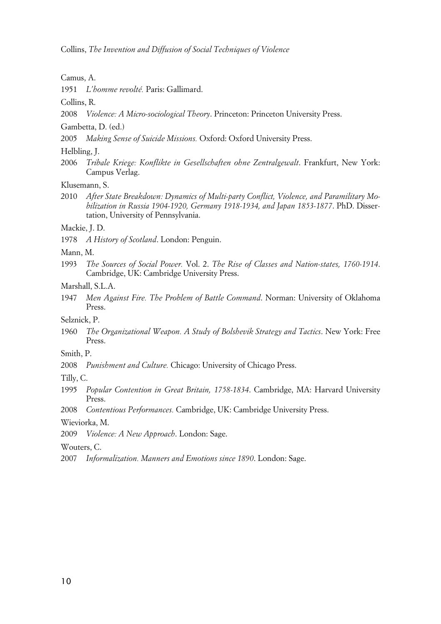Camus, A.

1951 *L'homme revolté.* Paris: Gallimard.

Collins, R.

2008 *Violence: A Micro-sociological Theory*. Princeton: Princeton University Press.

Gambetta, D. (ed.)

2005 *Making Sense of Suicide Missions.* Oxford: Oxford University Press.

Helbling, J.

2006 *Tribale Kriege: Konflikte in Gesellschaften ohne Zentralgewalt*. Frankfurt, New York: Campus Verlag.

Klusemann, S.

2010 *After State Breakdown: Dynamics of Multi-party Conflict, Violence, and Paramilitary Mobilization in Russia 1904-1920, Germany 1918-1934, and Japan 1853-1877*. PhD. Dissertation, University of Pennsylvania.

#### Mackie, J. D.

1978 *A History of Scotland*. London: Penguin.

#### Mann, M.

- 1993 *The Sources of Social Power.* Vol. 2. *The Rise of Classes and Nation-states, 1760-1914*. Cambridge, UK: Cambridge University Press.
- Marshall, S.L.A.
- 1947 *Men Against Fire. The Problem of Battle Command*. Norman: University of Oklahoma Press.

Selznick, P.

1960 *The Organizational Weapon. A Study of Bolshevik Strategy and Tactics*. New York: Free Press.

#### Smith, P.

2008 *Punishment and Culture.* Chicago: University of Chicago Press.

Tilly, C.

1995 *Popular Contention in Great Britain, 1758-1834*. Cambridge, MA: Harvard University Press.

2008 *Contentious Performances.* Cambridge, UK: Cambridge University Press.

Wieviorka, M.

2009 *Violence: A New Approach*. London: Sage.

Wouters, C.

2007 *Informalization. Manners and Emotions since 1890*. London: Sage.